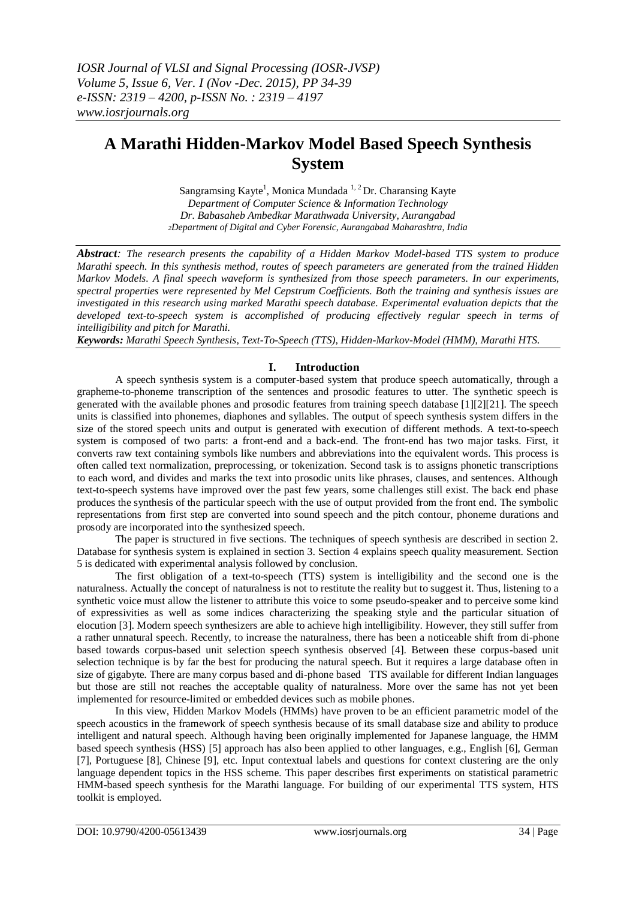# **A Marathi Hidden-Markov Model Based Speech Synthesis System**

Sangramsing Kayte<sup>1</sup>, Monica Mundada<sup>1,2</sup>Dr. Charansing Kayte *Department of Computer Science & Information Technology Dr. Babasaheb Ambedkar Marathwada University, Aurangabad <sup>2</sup>Department of Digital and Cyber Forensic, Aurangabad Maharashtra, India*

*Abstract: The research presents the capability of a Hidden Markov Model-based TTS system to produce Marathi speech. In this synthesis method, routes of speech parameters are generated from the trained Hidden Markov Models. A final speech waveform is synthesized from those speech parameters. In our experiments, spectral properties were represented by Mel Cepstrum Coefficients. Both the training and synthesis issues are investigated in this research using marked Marathi speech database. Experimental evaluation depicts that the developed text-to-speech system is accomplished of producing effectively regular speech in terms of intelligibility and pitch for Marathi.*

*Keywords: Marathi Speech Synthesis, Text-To-Speech (TTS), Hidden-Markov-Model (HMM), Marathi HTS.* 

# **I. Introduction**

A speech synthesis system is a computer-based system that produce speech automatically, through a grapheme-to-phoneme transcription of the sentences and prosodic features to utter. The synthetic speech is generated with the available phones and prosodic features from training speech database [1][2][21]. The speech units is classified into phonemes, diaphones and syllables. The output of speech synthesis system differs in the size of the stored speech units and output is generated with execution of different methods. A text-to-speech system is composed of two parts: a front-end and a back-end. The front-end has two major tasks. First, it converts raw text containing symbols like numbers and abbreviations into the equivalent words. This process is often called text normalization, preprocessing, or tokenization. Second task is to assigns phonetic transcriptions to each word, and divides and marks the text into prosodic units like phrases, clauses, and sentences. Although text-to-speech systems have improved over the past few years, some challenges still exist. The back end phase produces the synthesis of the particular speech with the use of output provided from the front end. The symbolic representations from first step are converted into sound speech and the pitch contour, phoneme durations and prosody are incorporated into the synthesized speech.

The paper is structured in five sections. The techniques of speech synthesis are described in section 2. Database for synthesis system is explained in section 3. Section 4 explains speech quality measurement. Section 5 is dedicated with experimental analysis followed by conclusion.

The first obligation of a text-to-speech (TTS) system is intelligibility and the second one is the naturalness. Actually the concept of naturalness is not to restitute the reality but to suggest it. Thus, listening to a synthetic voice must allow the listener to attribute this voice to some pseudo-speaker and to perceive some kind of expressivities as well as some indices characterizing the speaking style and the particular situation of elocution [3]. Modern speech synthesizers are able to achieve high intelligibility. However, they still suffer from a rather unnatural speech. Recently, to increase the naturalness, there has been a noticeable shift from di-phone based towards corpus-based unit selection speech synthesis observed [4]. Between these corpus-based unit selection technique is by far the best for producing the natural speech. But it requires a large database often in size of gigabyte. There are many corpus based and di-phone based TTS available for different Indian languages but those are still not reaches the acceptable quality of naturalness. More over the same has not yet been implemented for resource-limited or embedded devices such as mobile phones.

In this view, Hidden Markov Models (HMMs) have proven to be an efficient parametric model of the speech acoustics in the framework of speech synthesis because of its small database size and ability to produce intelligent and natural speech. Although having been originally implemented for Japanese language, the HMM based speech synthesis (HSS) [5] approach has also been applied to other languages, e.g., English [6], German [7], Portuguese [8], Chinese [9], etc. Input contextual labels and questions for context clustering are the only language dependent topics in the HSS scheme. This paper describes first experiments on statistical parametric HMM-based speech synthesis for the Marathi language. For building of our experimental TTS system, HTS toolkit is employed.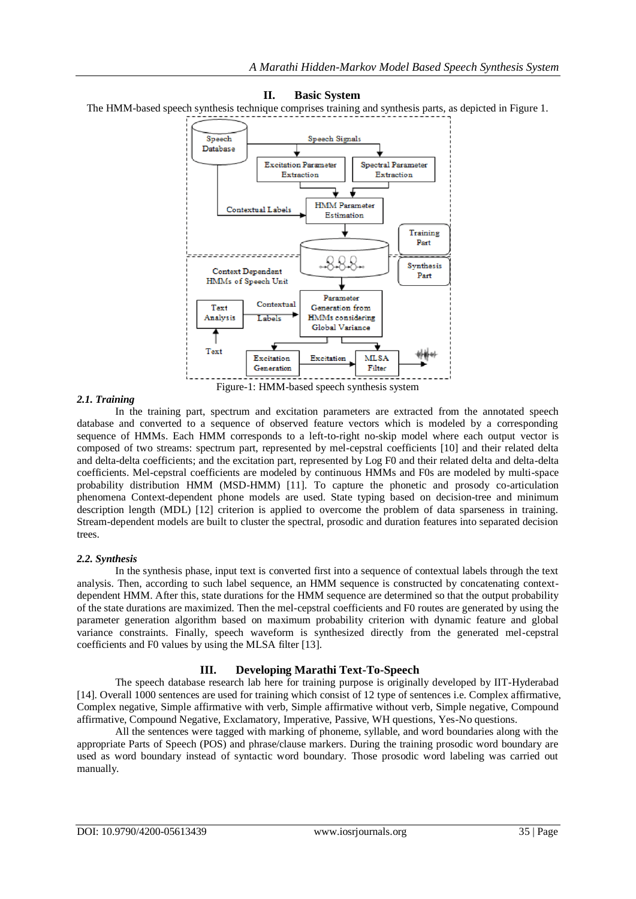#### Speech Speech Signals Database **Excitation Parameter Spectral Parameter** Extraction Extraction J **HMM** Parameter Contextual Labels Estimation Training Part 88. Synthesis Context Dependent Part HMMs of Speech Unit Parameter Contextual Text Generation from HMMs considering Analysis Labels Global Variance ₹ Text **MLSA** Excitation Excitation Generation Filter

#### **II. Basic System**

The HMM-based speech synthesis technique comprises training and synthesis parts, as depicted in Figure 1.

Figure-1: HMM-based speech synthesis system

#### *2.1. Training*

In the training part, spectrum and excitation parameters are extracted from the annotated speech database and converted to a sequence of observed feature vectors which is modeled by a corresponding sequence of HMMs. Each HMM corresponds to a left-to-right no-skip model where each output vector is composed of two streams: spectrum part, represented by mel-cepstral coefficients [10] and their related delta and delta-delta coefficients; and the excitation part, represented by Log F0 and their related delta and delta-delta coefficients. Mel-cepstral coefficients are modeled by continuous HMMs and F0s are modeled by multi-space probability distribution HMM (MSD-HMM) [11]. To capture the phonetic and prosody co-articulation phenomena Context-dependent phone models are used. State typing based on decision-tree and minimum description length (MDL) [12] criterion is applied to overcome the problem of data sparseness in training. Stream-dependent models are built to cluster the spectral, prosodic and duration features into separated decision trees.

# *2.2. Synthesis*

In the synthesis phase, input text is converted first into a sequence of contextual labels through the text analysis. Then, according to such label sequence, an HMM sequence is constructed by concatenating contextdependent HMM. After this, state durations for the HMM sequence are determined so that the output probability of the state durations are maximized. Then the mel-cepstral coefficients and F0 routes are generated by using the parameter generation algorithm based on maximum probability criterion with dynamic feature and global variance constraints. Finally, speech waveform is synthesized directly from the generated mel-cepstral coefficients and F0 values by using the MLSA filter [13].

# **III. Developing Marathi Text-To-Speech**

The speech database research lab here for training purpose is originally developed by IIT-Hyderabad [14]. Overall 1000 sentences are used for training which consist of 12 type of sentences i.e. Complex affirmative, Complex negative, Simple affirmative with verb, Simple affirmative without verb, Simple negative, Compound affirmative, Compound Negative, Exclamatory, Imperative, Passive, WH questions, Yes-No questions.

All the sentences were tagged with marking of phoneme, syllable, and word boundaries along with the appropriate Parts of Speech (POS) and phrase/clause markers. During the training prosodic word boundary are used as word boundary instead of syntactic word boundary. Those prosodic word labeling was carried out manually.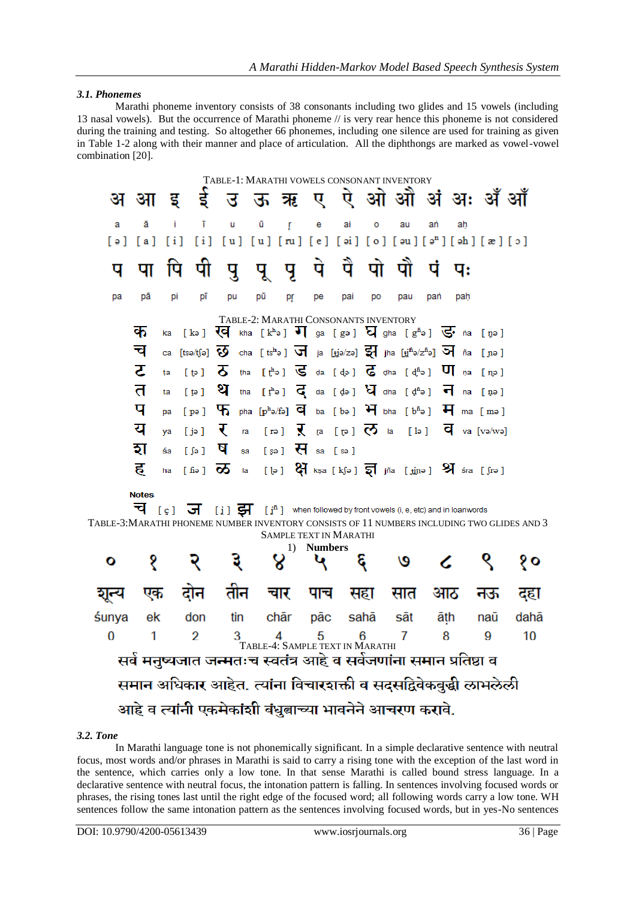### *3.1. Phonemes*

Marathi phoneme inventory consists of 38 consonants including two glides and 15 vowels (including 13 nasal vowels). But the occurrence of Marathi phoneme // is very rear hence this phoneme is not considered during the training and testing. So altogether 66 phonemes, including one silence are used for training as given in Table 1-2 along with their manner and place of articulation. All the diphthongs are marked as vowel-vowel combination [20].

|                                                                                                      |              |     |                  |    | TABLE-1: MARATHI VOWELS CONSONANT INVENTORY                                                                                                        |                               |                |     |       |     |                                                                                                                                                                                                                                                                                                 |     |     |      |
|------------------------------------------------------------------------------------------------------|--------------|-----|------------------|----|----------------------------------------------------------------------------------------------------------------------------------------------------|-------------------------------|----------------|-----|-------|-----|-------------------------------------------------------------------------------------------------------------------------------------------------------------------------------------------------------------------------------------------------------------------------------------------------|-----|-----|------|
|                                                                                                      | अ आ          | ੱਤ  |                  |    | इंउ ऊन्नर ए ऐ ओ औं अं अः अँ औं                                                                                                                     |                               |                |     |       |     |                                                                                                                                                                                                                                                                                                 |     |     |      |
| a                                                                                                    | ā            | Ť   | ī                | ū  | ū                                                                                                                                                  | ŗ                             | e              | ai  | o     | au  | ań                                                                                                                                                                                                                                                                                              | ah  |     |      |
| [ə]                                                                                                  | [ a ]        | [i] | [i]              |    | $[u] [u] [ru] [e] [ai] [o] [au] [an] [ah] [x] [o]$                                                                                                 |                               |                |     |       |     |                                                                                                                                                                                                                                                                                                 |     |     |      |
| प                                                                                                    | पा           | पि  | पा               |    | पुपुपु                                                                                                                                             |                               | पे             |     | पै पो | पों | पं                                                                                                                                                                                                                                                                                              | पः  |     |      |
| pa                                                                                                   | рā           | рi  | рī               | pu | рū                                                                                                                                                 | þŗ                            | рe             | pai | po    | pau | pań                                                                                                                                                                                                                                                                                             | pah |     |      |
|                                                                                                      |              |     |                  |    | TABLE-2: MARATHI CONSONANTS INVENTORY                                                                                                              |                               |                |     |       |     |                                                                                                                                                                                                                                                                                                 |     |     |      |
|                                                                                                      | क            | ka  |                  |    | [ka] $\overline{Q}$ kha [k <sup>h</sup> a] $\overline{V}$ ] ga [ga] $\overline{Q}$ gha [g <sup>h</sup> a] $\overline{Q}$ <sup>t</sup> na [ŋa]      |                               |                |     |       |     |                                                                                                                                                                                                                                                                                                 |     |     |      |
|                                                                                                      | च            | ca  |                  |    | [tsə/tʃə] $\overline{O}$ cha [tsʰə] $\overline{v}$ ] ja [ti̯ə/zə] $\overline{z}$ ] jha [ti̯iʰə/zʰə] $\overline{v}$ ] ña [n̪ə]                      |                               |                |     |       |     |                                                                                                                                                                                                                                                                                                 |     |     |      |
|                                                                                                      | ट            | ta  | $[$ te $]$       |    | $\overline{\delta}$ tha [ $f^b$ ə] $\overline{\mathbb{G}}$ da [də] $\overline{\mathbb{G}}$ dha [d <sup>fi</sup> ə] $\overline{\mathbb{U}}$ na [nə] |                               |                |     |       |     |                                                                                                                                                                                                                                                                                                 |     |     |      |
|                                                                                                      | त            | ta  | $[$ $\Theta$ $]$ |    | थे tha [the] $\vec{q}$ da [de] $\vec{q}$ dha [dhe] न na [me]                                                                                       |                               |                |     |       |     |                                                                                                                                                                                                                                                                                                 |     |     |      |
|                                                                                                      | प            | pa  | $[$ pə $]$       |    | $\P$ pha [pho/fo] $\overline{q}$ ba [bo] $\overline{q}$ bha [bho] $\overline{q}$ ma [mo]                                                           |                               |                |     |       |     |                                                                                                                                                                                                                                                                                                 |     |     |      |
|                                                                                                      | य            | ya  | $[i \circ j]$    | ₹  | ra                                                                                                                                                 |                               |                |     |       |     | $\lceil \mathfrak{p} \rceil$ $\bar{\mathbf{X}}$ $\lceil \mathfrak{p} \rceil$ $\bar{\mathbf{C}}$ $\bar{\mathbf{C}}$ $\lceil \mathfrak{p} \rceil$ $\bar{\mathbf{C}}$ $\lceil \mathfrak{p} \rceil$ $\bar{\mathbf{C}}$ $\lceil \mathfrak{p} \rceil$ $\bar{\mathbf{C}}$ $\lceil \mathfrak{p} \rceil$ |     |     |      |
|                                                                                                      | হা           | śa  | [6]              | ष  | sa [sə] $\overline{H}$ sa [sə]                                                                                                                     |                               |                |     |       |     |                                                                                                                                                                                                                                                                                                 |     |     |      |
|                                                                                                      | ह            | ha  | [6a]             | ळ  |                                                                                                                                                    |                               |                |     |       |     | la [ $\phi$ ] $\mathfrak{F}$ kṣa [kʃə] $\overline{\mathfrak{g}}$ jña [jjnə] $\mathfrak{H}$ śra [ʃrə]                                                                                                                                                                                            |     |     |      |
|                                                                                                      | <b>Notes</b> |     |                  |    |                                                                                                                                                    |                               |                |     |       |     |                                                                                                                                                                                                                                                                                                 |     |     |      |
|                                                                                                      | ਖ            |     |                  |    | $[\, \varsigma\,]$ $\overline{J}$ $[\, \vdots\, ]$ $\overline{J}$ $[\, \vdots\, ]$ when followed by front vowels (i, e, etc) and in loanwords      |                               |                |     |       |     |                                                                                                                                                                                                                                                                                                 |     |     |      |
| TABLE-3:MARATHI PHONEME NUMBER INVENTORY CONSISTS OF 11 NUMBERS INCLUDING TWO GLIDES AND 3           |              |     |                  |    |                                                                                                                                                    | <b>SAMPLE TEXT IN MARATHI</b> |                |     |       |     |                                                                                                                                                                                                                                                                                                 |     |     |      |
|                                                                                                      |              |     |                  |    |                                                                                                                                                    | 1)                            | <b>Numbers</b> |     |       |     |                                                                                                                                                                                                                                                                                                 |     |     |      |
| о                                                                                                    | ş            |     |                  |    | ३                                                                                                                                                  | 8                             |                |     | Ę     | ৩   | ረ                                                                                                                                                                                                                                                                                               |     |     | १०   |
| शून्य                                                                                                | एक           |     | दोन              |    | तीन                                                                                                                                                | चार                           | पाच            |     | सहा   | सात | आठ                                                                                                                                                                                                                                                                                              |     | नऊ  | दहा  |
| śunya                                                                                                | ek           |     | don              |    | tin                                                                                                                                                | chār                          | pāc            |     | sahā  | sāt | āth                                                                                                                                                                                                                                                                                             |     | naū | dahā |
| 0                                                                                                    | 1            |     | $\overline{2}$   |    | 3                                                                                                                                                  | 4                             | 5              |     | 6     | 7   | 8                                                                                                                                                                                                                                                                                               |     | 9   | 10   |
| TABLE-4: SAMPLE TEXT IN MARATHI<br>सर्व मनुष्यजात जन्मतःच स्वतंत्र आहे व सर्वजणांना समान प्रतिष्ठा व |              |     |                  |    |                                                                                                                                                    |                               |                |     |       |     |                                                                                                                                                                                                                                                                                                 |     |     |      |
| समान अधिकार आहेत. त्यांना विचारशक्ती व सदसद्विवेकबुद्धी लाभलेली                                      |              |     |                  |    |                                                                                                                                                    |                               |                |     |       |     |                                                                                                                                                                                                                                                                                                 |     |     |      |
|                                                                                                      |              |     |                  |    |                                                                                                                                                    |                               |                |     |       |     |                                                                                                                                                                                                                                                                                                 |     |     |      |
| आहे व त्यांनी एकमेकांशी बंधुबाच्या भावनेने आचरण करावे.                                               |              |     |                  |    |                                                                                                                                                    |                               |                |     |       |     |                                                                                                                                                                                                                                                                                                 |     |     |      |

#### *3.2. Tone*

In Marathi language tone is not phonemically significant. In a simple declarative sentence with neutral focus, most words and/or phrases in Marathi is said to carry a rising tone with the exception of the last word in the sentence, which carries only a low tone. In that sense Marathi is called bound stress language. In a declarative sentence with neutral focus, the intonation pattern is falling. In sentences involving focused words or phrases, the rising tones last until the right edge of the focused word; all following words carry a low tone. WH sentences follow the same intonation pattern as the sentences involving focused words, but in yes-No sentences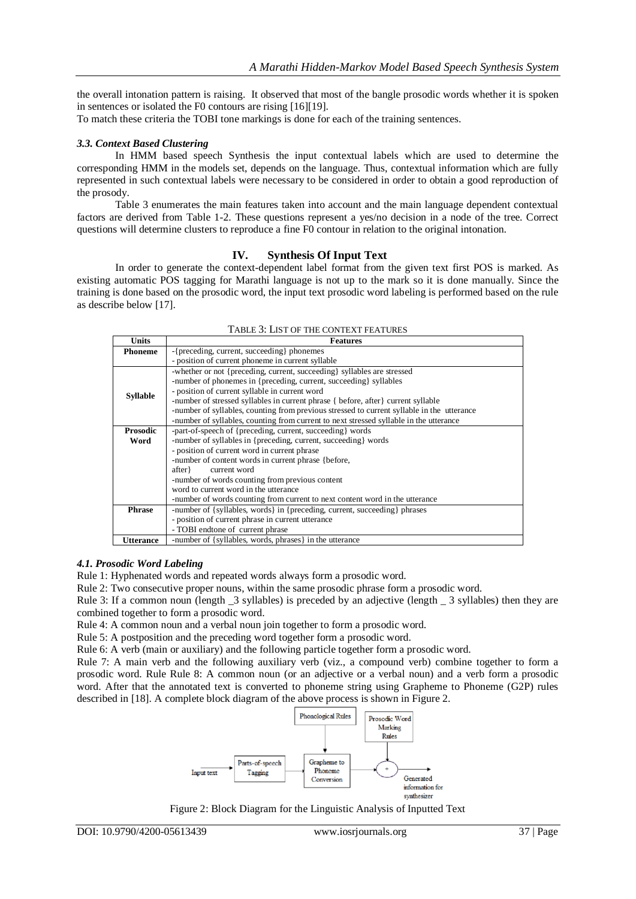the overall intonation pattern is raising. It observed that most of the bangle prosodic words whether it is spoken in sentences or isolated the F0 contours are rising [16][19].

To match these criteria the TOBI tone markings is done for each of the training sentences.

#### *3.3. Context Based Clustering*

In HMM based speech Synthesis the input contextual labels which are used to determine the corresponding HMM in the models set, depends on the language. Thus, contextual information which are fully represented in such contextual labels were necessary to be considered in order to obtain a good reproduction of the prosody.

Table 3 enumerates the main features taken into account and the main language dependent contextual factors are derived from Table 1-2. These questions represent a yes/no decision in a node of the tree. Correct questions will determine clusters to reproduce a fine F0 contour in relation to the original intonation.

#### **IV. Synthesis Of Input Text**

In order to generate the context-dependent label format from the given text first POS is marked. As existing automatic POS tagging for Marathi language is not up to the mark so it is done manually. Since the training is done based on the prosodic word, the input text prosodic word labeling is performed based on the rule as describe below [17].

| <b>Units</b>    | <b>Features</b>                                                                            |  |  |  |  |  |  |
|-----------------|--------------------------------------------------------------------------------------------|--|--|--|--|--|--|
| <b>Phoneme</b>  | -{preceding, current, succeeding} phonemes                                                 |  |  |  |  |  |  |
|                 | - position of current phoneme in current syllable                                          |  |  |  |  |  |  |
|                 | -whether or not {preceding, current, succeeding} syllables are stressed                    |  |  |  |  |  |  |
| <b>Syllable</b> | -number of phonemes in {preceding, current, succeeding} syllables                          |  |  |  |  |  |  |
|                 | - position of current syllable in current word                                             |  |  |  |  |  |  |
|                 | -number of stressed syllables in current phrase { before, after } current syllable         |  |  |  |  |  |  |
|                 | -number of syllables, counting from previous stressed to current syllable in the utterance |  |  |  |  |  |  |
|                 | -number of syllables, counting from current to next stressed syllable in the utterance     |  |  |  |  |  |  |
| <b>Prosodic</b> | -part-of-speech of {preceding, current, succeeding} words                                  |  |  |  |  |  |  |
| Word            | -number of syllables in {preceding, current, succeeding} words                             |  |  |  |  |  |  |
|                 | - position of current word in current phrase                                               |  |  |  |  |  |  |
|                 | -number of content words in current phrase {before,                                        |  |  |  |  |  |  |
|                 | current word<br>after }                                                                    |  |  |  |  |  |  |
|                 | -number of words counting from previous content                                            |  |  |  |  |  |  |
|                 | word to current word in the utterance                                                      |  |  |  |  |  |  |
|                 | -number of words counting from current to next content word in the utterance               |  |  |  |  |  |  |
| <b>Phrase</b>   | -number of {syllables, words} in {preceding, current, succeeding} phrases                  |  |  |  |  |  |  |
|                 | - position of current phrase in current utterance                                          |  |  |  |  |  |  |
|                 | - TOBI endtone of current phrase                                                           |  |  |  |  |  |  |
| Utterance       | -number of {syllables, words, phrases} in the utterance                                    |  |  |  |  |  |  |

#### TABLE 3: LIST OF THE CONTEXT FEATURES

#### *4.1. Prosodic Word Labeling*

Rule 1: Hyphenated words and repeated words always form a prosodic word.

Rule 2: Two consecutive proper nouns, within the same prosodic phrase form a prosodic word.

Rule 3: If a common noun (length -3 syllables) is preceded by an adjective (length -3 syllables) then they are combined together to form a prosodic word.

Rule 4: A common noun and a verbal noun join together to form a prosodic word.

Rule 5: A postposition and the preceding word together form a prosodic word.

Rule 6: A verb (main or auxiliary) and the following particle together form a prosodic word.

Rule 7: A main verb and the following auxiliary verb (viz., a compound verb) combine together to form a prosodic word. Rule Rule 8: A common noun (or an adjective or a verbal noun) and a verb form a prosodic word. After that the annotated text is converted to phoneme string using Grapheme to Phoneme (G2P) rules described in [18]. A complete block diagram of the above process is shown in Figure 2.



Figure 2: Block Diagram for the Linguistic Analysis of Inputted Text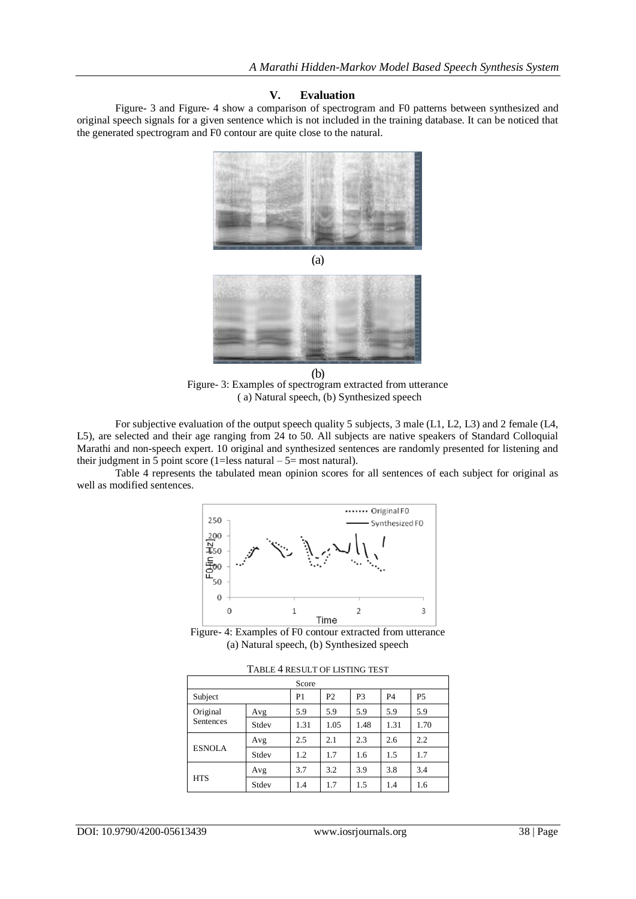#### **V. Evaluation**

Figure- 3 and Figure- 4 show a comparison of spectrogram and F0 patterns between synthesized and original speech signals for a given sentence which is not included in the training database. It can be noticed that the generated spectrogram and F0 contour are quite close to the natural.



(a)

Figure- 3: Examples of spectrogram extracted from utterance ( a) Natural speech, (b) Synthesized speech (b)

For subjective evaluation of the output speech quality 5 subjects, 3 male (L1, L2, L3) and 2 female (L4, L5), are selected and their age ranging from 24 to 50. All subjects are native speakers of Standard Colloquial Marathi and non-speech expert. 10 original and synthesized sentences are randomly presented for listening and their judgment in 5 point score (1=less natural –  $5$ = most natural).

Table 4 represents the tabulated mean opinion scores for all sentences of each subject for original as well as modified sentences.



Figure- 4: Examples of F0 contour extracted from utterance (a) Natural speech, (b) Synthesized speech

| Score         |                |                |      |           |           |      |  |  |
|---------------|----------------|----------------|------|-----------|-----------|------|--|--|
| Subject       | P <sub>1</sub> | P <sub>2</sub> | P3   | <b>P4</b> | <b>P5</b> |      |  |  |
| Original      | Avg            | 5.9            | 5.9  | 5.9       | 5.9       | 5.9  |  |  |
| Sentences     | Stdev          | 1.31           | 1.05 | 1.48      | 1.31      | 1.70 |  |  |
|               | Avg            | 2.5            | 2.1  | 2.3       | 2.6       | 2.2  |  |  |
| <b>ESNOLA</b> | Stdev          | 1.2            | 1.7  | 1.6       | 1.5       | 1.7  |  |  |
|               | Avg            | 3.7            | 3.2  | 3.9       | 3.8       | 3.4  |  |  |
| <b>HTS</b>    | Stdev          | 1.4            | 1.7  | 1.5       | 1.4       | 1.6  |  |  |

TABLE 4 RESULT OF LISTING TEST